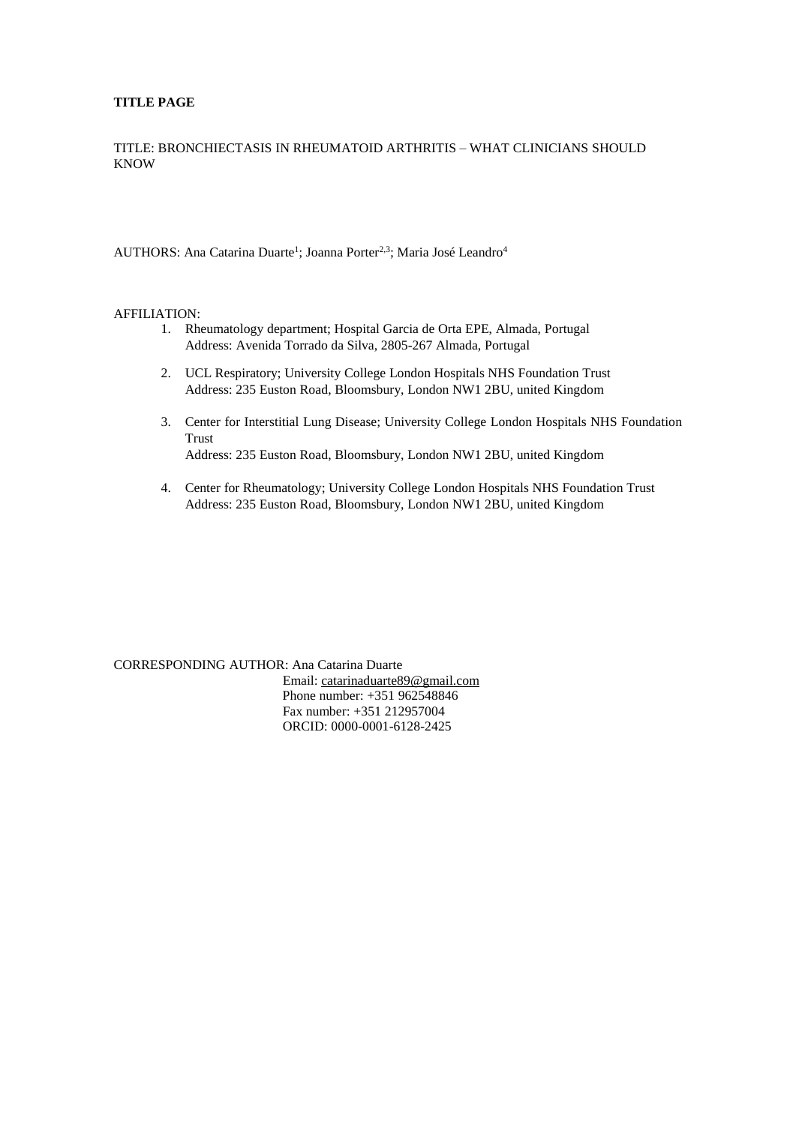## **TITLE PAGE**

TITLE: BRONCHIECTASIS IN RHEUMATOID ARTHRITIS – WHAT CLINICIANS SHOULD KNOW

AUTHORS: Ana Catarina Duarte<sup>1</sup>; Joanna Porter<sup>2,3</sup>; Maria José Leandro<sup>4</sup>

#### AFFILIATION:

- 1. Rheumatology department; Hospital Garcia de Orta EPE, Almada, Portugal Address: Avenida Torrado da Silva, 2805-267 Almada, Portugal
- 2. UCL Respiratory; University College London Hospitals NHS Foundation Trust Address: 235 Euston Road, Bloomsbury, London NW1 2BU, united Kingdom
- 3. Center for Interstitial Lung Disease; University College London Hospitals NHS Foundation Trust Address: 235 Euston Road, Bloomsbury, London NW1 2BU, united Kingdom
- 4. Center for Rheumatology; University College London Hospitals NHS Foundation Trust Address: 235 Euston Road, Bloomsbury, London NW1 2BU, united Kingdom

CORRESPONDING AUTHOR: Ana Catarina Duarte Email: [catarinaduarte89@gmail.com](mailto:catarinaduarte89@gmail.com) Phone number: +351 962548846 Fax number: +351 212957004 ORCID: [0000-0001-6128-2425](javascript:popup_orcidDetail(%22https://orcid.org%22,%20%220%22);)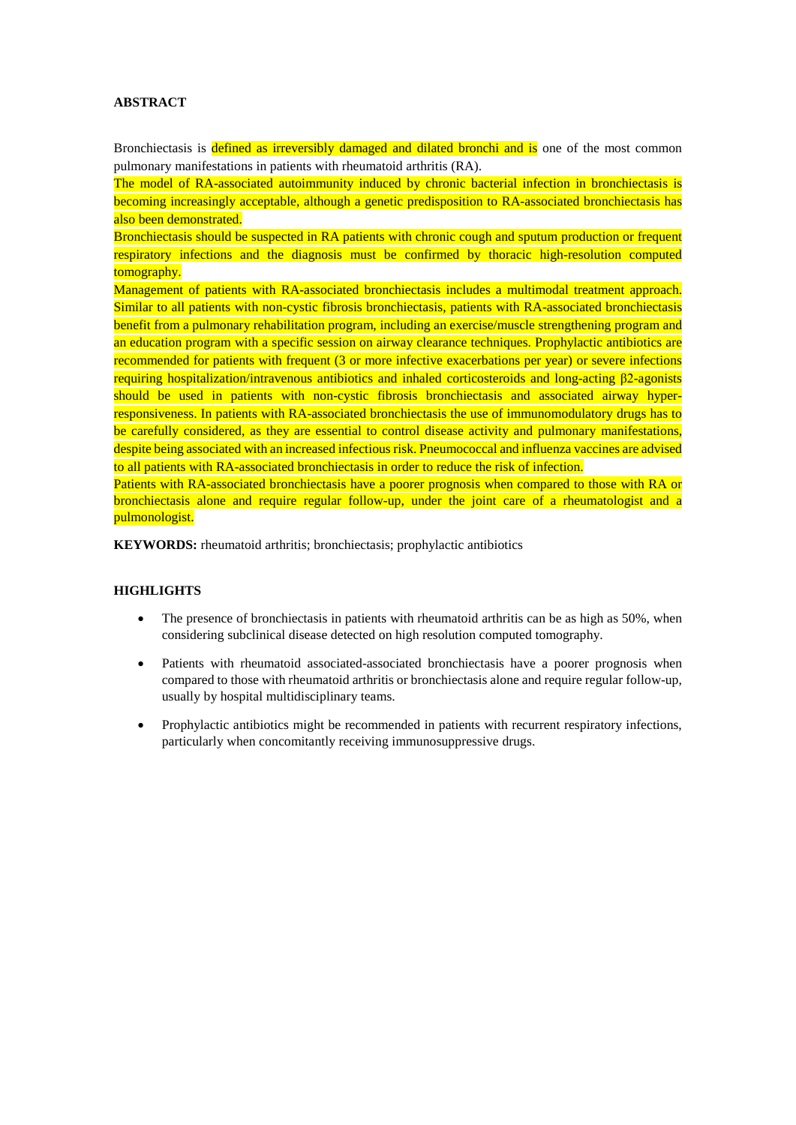# **ABSTRACT**

Bronchiectasis is defined as irreversibly damaged and dilated bronchi and is one of the most common pulmonary manifestations in patients with rheumatoid arthritis (RA).

The model of RA-associated autoimmunity induced by chronic bacterial infection in bronchiectasis is becoming increasingly acceptable, although a genetic predisposition to RA-associated bronchiectasis has also been demonstrated.

Bronchiectasis should be suspected in RA patients with chronic cough and sputum production or frequent respiratory infections and the diagnosis must be confirmed by thoracic high-resolution computed tomography.

Management of patients with RA-associated bronchiectasis includes a multimodal treatment approach. Similar to all patients with non-cystic fibrosis bronchiectasis, patients with RA-associated bronchiectasis benefit from a pulmonary rehabilitation program, including an exercise/muscle strengthening program and an education program with a specific session on airway clearance techniques. Prophylactic antibiotics are recommended for patients with frequent (3 or more infective exacerbations per year) or severe infections requiring hospitalization/intravenous antibiotics and inhaled corticosteroids and long-acting β2-agonists should be used in patients with non-cystic fibrosis bronchiectasis and associated airway hyperresponsiveness. In patients with RA-associated bronchiectasis the use of immunomodulatory drugs has to be carefully considered, as they are essential to control disease activity and pulmonary manifestations, despite being associated with an increased infectious risk. Pneumococcal and influenza vaccines are advised to all patients with RA-associated bronchiectasis in order to reduce the risk of infection.

Patients with RA-associated bronchiectasis have a poorer prognosis when compared to those with RA or bronchiectasis alone and require regular follow-up, under the joint care of a rheumatologist and a pulmonologist.

**KEYWORDS:** rheumatoid arthritis; bronchiectasis; prophylactic antibiotics

## **HIGHLIGHTS**

- The presence of bronchiectasis in patients with rheumatoid arthritis can be as high as 50%, when considering subclinical disease detected on high resolution computed tomography.
- Patients with rheumatoid associated-associated bronchiectasis have a poorer prognosis when compared to those with rheumatoid arthritis or bronchiectasis alone and require regular follow-up, usually by hospital multidisciplinary teams.
- Prophylactic antibiotics might be recommended in patients with recurrent respiratory infections, particularly when concomitantly receiving immunosuppressive drugs.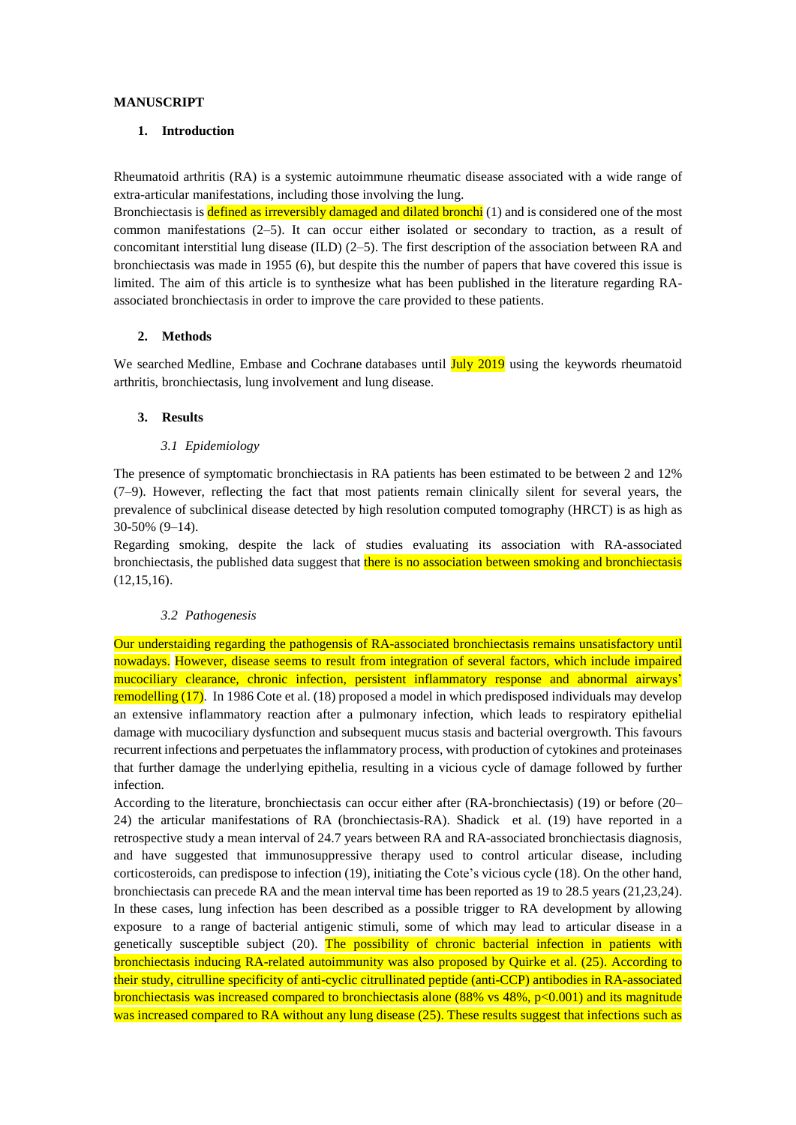#### **MANUSCRIPT**

#### **1. Introduction**

Rheumatoid arthritis (RA) is a systemic autoimmune rheumatic disease associated with a wide range of extra-articular manifestations, including those involving the lung.

Bronchiectasis is **defined as irreversibly damaged and dilated bronchi** (1) and is considered one of the most common manifestations (2–5). It can occur either isolated or secondary to traction, as a result of concomitant interstitial lung disease (ILD)  $(2-5)$ . The first description of the association between RA and bronchiectasis was made in 1955 (6), but despite this the number of papers that have covered this issue is limited. The aim of this article is to synthesize what has been published in the literature regarding RAassociated bronchiectasis in order to improve the care provided to these patients.

## **2. Methods**

We searched Medline, Embase and Cochrane databases until July 2019 using the keywords rheumatoid arthritis, bronchiectasis, lung involvement and lung disease.

## **3. Results**

#### *3.1 Epidemiology*

The presence of symptomatic bronchiectasis in RA patients has been estimated to be between 2 and 12% (7–9). However, reflecting the fact that most patients remain clinically silent for several years, the prevalence of subclinical disease detected by high resolution computed tomography (HRCT) is as high as 30-50% (9–14).

Regarding smoking, despite the lack of studies evaluating its association with RA-associated bronchiectasis, the published data suggest that there is no association between smoking and bronchiectasis (12,15,16).

## *3.2 Pathogenesis*

Our understaiding regarding the pathogensis of RA-associated bronchiectasis remains unsatisfactory until nowadays. However, disease seems to result from integration of several factors, which include impaired mucociliary clearance, chronic infection, persistent inflammatory response and abnormal airways' remodelling (17). In 1986 Cote et al. (18) proposed a model in which predisposed individuals may develop an extensive inflammatory reaction after a pulmonary infection, which leads to respiratory epithelial damage with mucociliary dysfunction and subsequent mucus stasis and bacterial overgrowth. This favours recurrent infections and perpetuates the inflammatory process, with production of cytokines and proteinases that further damage the underlying epithelia, resulting in a vicious cycle of damage followed by further infection.

According to the literature, bronchiectasis can occur either after (RA-bronchiectasis) (19) or before (20– 24) the articular manifestations of RA (bronchiectasis-RA). Shadick et al. (19) have reported in a retrospective study a mean interval of 24.7 years between RA and RA-associated bronchiectasis diagnosis, and have suggested that immunosuppressive therapy used to control articular disease, including corticosteroids, can predispose to infection (19), initiating the Cote's vicious cycle (18). On the other hand, bronchiectasis can precede RA and the mean interval time has been reported as 19 to 28.5 years (21,23,24). In these cases, lung infection has been described as a possible trigger to RA development by allowing exposure to a range of bacterial antigenic stimuli, some of which may lead to articular disease in a genetically susceptible subject (20). The possibility of chronic bacterial infection in patients with bronchiectasis inducing RA-related autoimmunity was also proposed by Quirke et al. (25). According to their study, citrulline specificity of anti-cyclic citrullinated peptide (anti-CCP) antibodies in RA-associated bronchiectasis was increased compared to bronchiectasis alone (88% vs 48%, p<0.001) and its magnitude was increased compared to RA without any lung disease (25). These results suggest that infections such as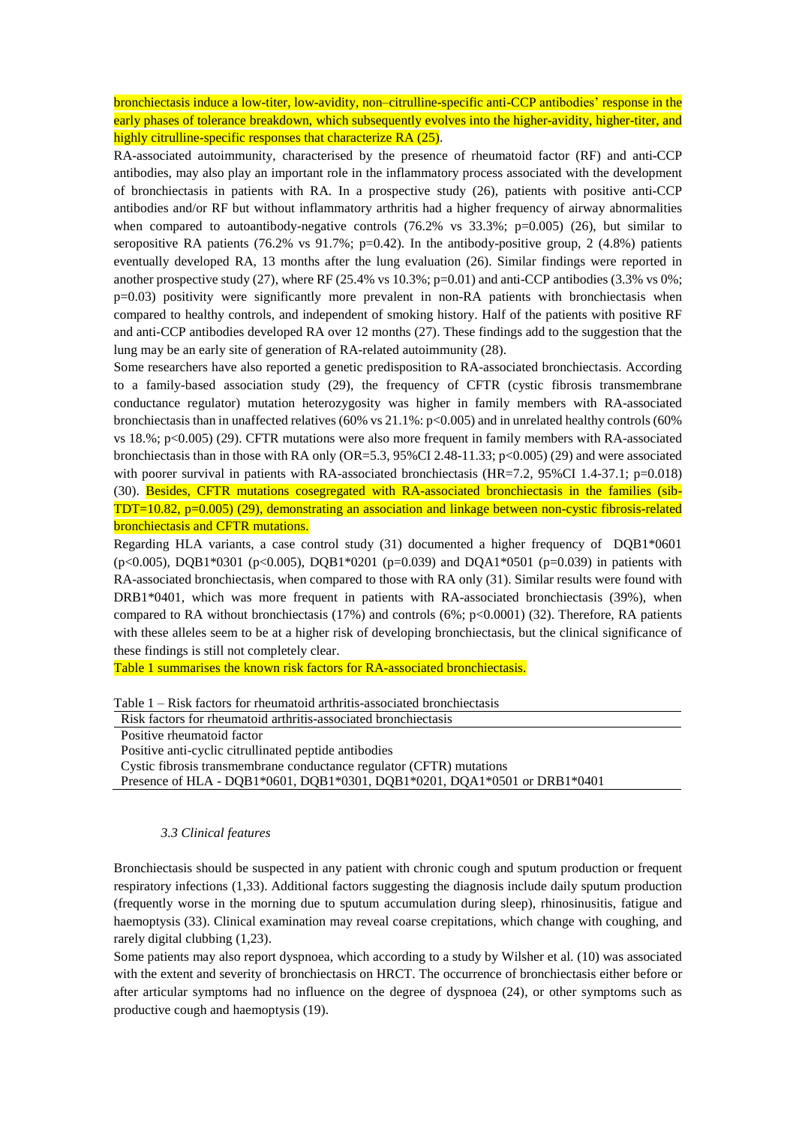bronchiectasis induce a low-titer, low-avidity, non–citrulline-specific anti-CCP antibodies' response in the early phases of tolerance breakdown, which subsequently evolves into the higher-avidity, higher-titer, and highly citrulline-specific responses that characterize RA (25).

RA-associated autoimmunity, characterised by the presence of rheumatoid factor (RF) and anti-CCP antibodies, may also play an important role in the inflammatory process associated with the development of bronchiectasis in patients with RA. In a prospective study (26), patients with positive anti-CCP antibodies and/or RF but without inflammatory arthritis had a higher frequency of airway abnormalities when compared to autoantibody-negative controls  $(76.2\%$  vs  $33.3\%$ ; p=0.005) (26), but similar to seropositive RA patients (76.2% vs 91.7%;  $p=0.42$ ). In the antibody-positive group, 2 (4.8%) patients eventually developed RA, 13 months after the lung evaluation (26). Similar findings were reported in another prospective study (27), where RF (25.4% vs 10.3%; p=0.01) and anti-CCP antibodies (3.3% vs 0%; p=0.03) positivity were significantly more prevalent in non-RA patients with bronchiectasis when compared to healthy controls, and independent of smoking history. Half of the patients with positive RF and anti-CCP antibodies developed RA over 12 months (27). These findings add to the suggestion that the lung may be an early site of generation of RA-related autoimmunity (28).

Some researchers have also reported a genetic predisposition to RA-associated bronchiectasis. According to a family-based association study (29), the frequency of CFTR (cystic fibrosis transmembrane conductance regulator) mutation heterozygosity was higher in family members with RA-associated bronchiectasis than in unaffected relatives (60% vs 21.1%: p<0.005) and in unrelated healthy controls (60% vs 18.%; p<0.005) (29). CFTR mutations were also more frequent in family members with RA-associated bronchiectasis than in those with RA only (OR=5.3, 95%CI 2.48-11.33; p<0.005) (29) and were associated with poorer survival in patients with RA-associated bronchiectasis (HR=7.2, 95%CI 1.4-37.1; p=0.018) (30). Besides, CFTR mutations cosegregated with RA-associated bronchiectasis in the families (sib-TDT=10.82, p=0.005) (29), demonstrating an association and linkage between non-cystic fibrosis-related bronchiectasis and CFTR mutations.

Regarding HLA variants, a case control study (31) documented a higher frequency of DQB1\*0601  $(p<0.005)$ , DQB1\*0301 (p<0.005), DQB1\*0201 (p=0.039) and DQA1\*0501 (p=0.039) in patients with RA-associated bronchiectasis, when compared to those with RA only (31). Similar results were found with DRB1\*0401, which was more frequent in patients with RA-associated bronchiectasis (39%), when compared to RA without bronchiectasis (17%) and controls (6%; p<0.0001) (32). Therefore, RA patients with these alleles seem to be at a higher risk of developing bronchiectasis, but the clinical significance of these findings is still not completely clear.

Table 1 summarises the known risk factors for RA-associated bronchiectasis.

| Table $1 - Risk$ factors for rheumatoid arthritis-associated bronchiectasis |  |
|-----------------------------------------------------------------------------|--|
|-----------------------------------------------------------------------------|--|

Risk factors for rheumatoid arthritis-associated bronchiectasis

Positive rheumatoid factor

Positive anti-cyclic citrullinated peptide antibodies

Cystic fibrosis transmembrane conductance regulator (CFTR) mutations

Presence of HLA - DQB1\*0601, DQB1\*0301, DQB1\*0201, DQA1\*0501 or DRB1\*0401

#### *3.3 Clinical features*

Bronchiectasis should be suspected in any patient with chronic cough and sputum production or frequent respiratory infections (1,33). Additional factors suggesting the diagnosis include daily sputum production (frequently worse in the morning due to sputum accumulation during sleep), rhinosinusitis, fatigue and haemoptysis (33). Clinical examination may reveal coarse crepitations, which change with coughing, and rarely digital clubbing (1,23).

Some patients may also report dyspnoea, which according to a study by Wilsher et al. (10) was associated with the extent and severity of bronchiectasis on HRCT. The occurrence of bronchiectasis either before or after articular symptoms had no influence on the degree of dyspnoea (24), or other symptoms such as productive cough and haemoptysis (19).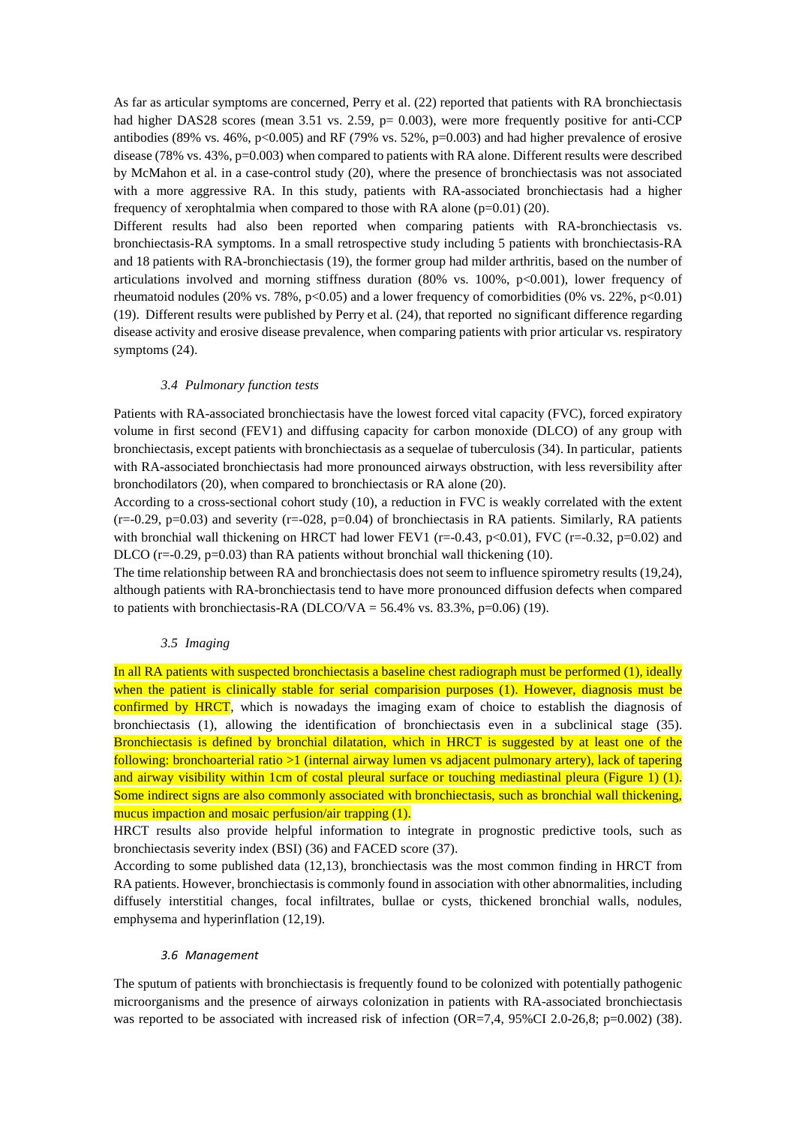As far as articular symptoms are concerned, Perry et al. (22) reported that patients with RA bronchiectasis had higher DAS28 scores (mean 3.51 vs. 2.59, p= 0.003), were more frequently positive for anti-CCP antibodies (89% vs. 46%, p<0.005) and RF (79% vs. 52%, p=0.003) and had higher prevalence of erosive disease (78% vs. 43%, p=0.003) when compared to patients with RA alone. Different results were described by McMahon et al. in a case-control study (20), where the presence of bronchiectasis was not associated with a more aggressive RA. In this study, patients with RA-associated bronchiectasis had a higher frequency of xerophtalmia when compared to those with RA alone  $(p=0.01)$  (20).

Different results had also been reported when comparing patients with RA-bronchiectasis vs. bronchiectasis-RA symptoms. In a small retrospective study including 5 patients with bronchiectasis-RA and 18 patients with RA-bronchiectasis (19), the former group had milder arthritis, based on the number of articulations involved and morning stiffness duration (80% vs. 100%, p<0.001), lower frequency of rheumatoid nodules (20% vs. 78%, p<0.05) and a lower frequency of comorbidities (0% vs. 22%, p<0.01) (19). Different results were published by Perry et al. (24), that reported no significant difference regarding disease activity and erosive disease prevalence, when comparing patients with prior articular vs. respiratory symptoms (24).

#### *3.4 Pulmonary function tests*

Patients with RA-associated bronchiectasis have the lowest forced vital capacity (FVC), forced expiratory volume in first second (FEV1) and diffusing capacity for carbon monoxide (DLCO) of any group with bronchiectasis, except patients with bronchiectasis as a sequelae of tuberculosis (34). In particular, patients with RA-associated bronchiectasis had more pronounced airways obstruction, with less reversibility after bronchodilators (20), when compared to bronchiectasis or RA alone (20).

According to a cross-sectional cohort study (10), a reduction in FVC is weakly correlated with the extent  $(r=0.29, p=0.03)$  and severity  $(r=0.028, p=0.04)$  of bronchiectasis in RA patients. Similarly, RA patients with bronchial wall thickening on HRCT had lower FEV1 ( $r=-0.43$ ,  $p<0.01$ ), FVC ( $r=-0.32$ ,  $p=0.02$ ) and DLCO  $(r=-0.29, p=0.03)$  than RA patients without bronchial wall thickening (10).

The time relationship between RA and bronchiectasis does not seem to influence spirometry results (19,24), although patients with RA-bronchiectasis tend to have more pronounced diffusion defects when compared to patients with bronchiectasis-RA (DLCO/VA = 56.4% vs. 83.3%, p=0.06) (19).

## *3.5 Imaging*

In all RA patients with suspected bronchiectasis a baseline chest radiograph must be performed (1), ideally when the patient is clinically stable for serial comparision purposes (1). However, diagnosis must be confirmed by HRCT, which is nowadays the imaging exam of choice to establish the diagnosis of bronchiectasis (1), allowing the identification of bronchiectasis even in a subclinical stage (35). Bronchiectasis is defined by bronchial dilatation, which in HRCT is suggested by at least one of the following: bronchoarterial ratio >1 (internal airway lumen vs adjacent pulmonary artery), lack of tapering and airway visibility within 1cm of costal pleural surface or touching mediastinal pleura (Figure 1) (1). Some indirect signs are also commonly associated with bronchiectasis, such as bronchial wall thickening, mucus impaction and mosaic perfusion/air trapping (1).

HRCT results also provide helpful information to integrate in prognostic predictive tools, such as bronchiectasis severity index (BSI) (36) and FACED score (37).

According to some published data (12,13), bronchiectasis was the most common finding in HRCT from RA patients. However, bronchiectasis is commonly found in association with other abnormalities, including diffusely interstitial changes, focal infiltrates, bullae or cysts, thickened bronchial walls, nodules, emphysema and hyperinflation (12,19).

#### *3.6 Management*

The sputum of patients with bronchiectasis is frequently found to be colonized with potentially pathogenic microorganisms and the presence of airways colonization in patients with RA-associated bronchiectasis was reported to be associated with increased risk of infection (OR=7,4, 95%CI 2.0-26,8; p=0.002) (38).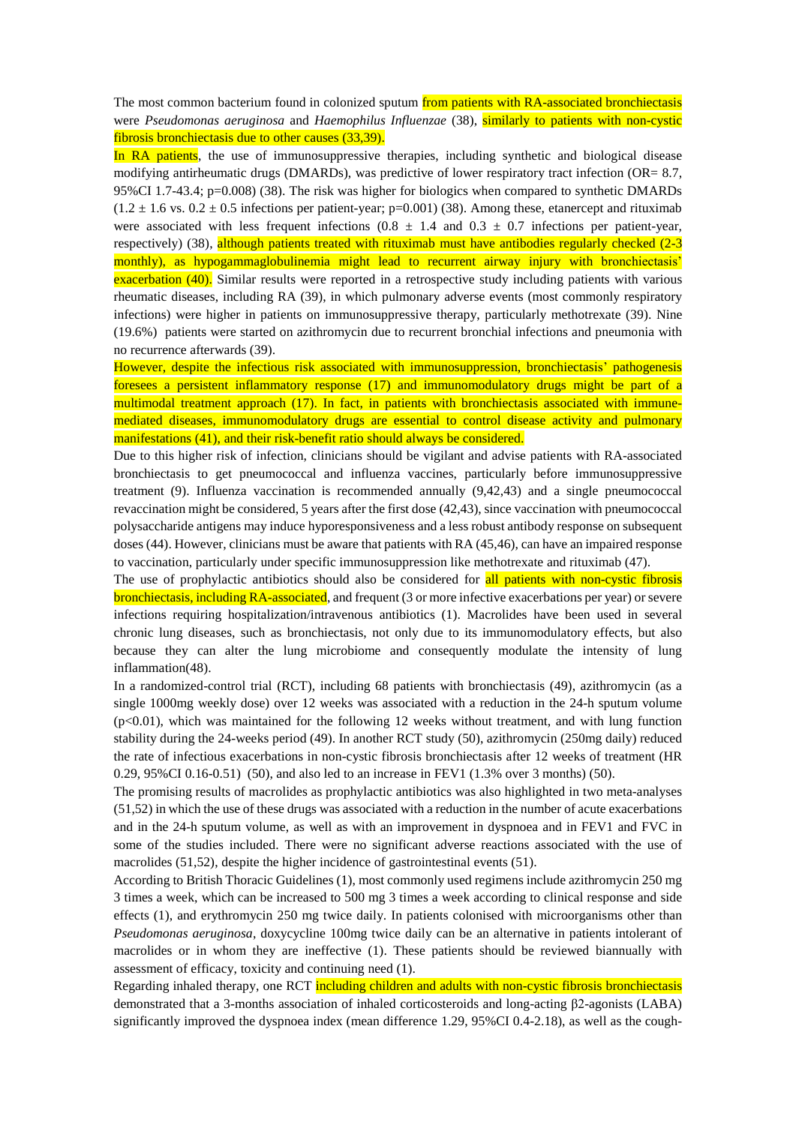The most common bacterium found in colonized sputum from patients with RA-associated bronchiectasis were *Pseudomonas aeruginosa* and *Haemophilus Influenzae* (38), similarly to patients with non-cystic fibrosis bronchiectasis due to other causes (33,39).

In RA patients, the use of immunosuppressive therapies, including synthetic and biological disease modifying antirheumatic drugs (DMARDs), was predictive of lower respiratory tract infection (OR= 8.7, 95%CI 1.7-43.4; p=0.008) (38). The risk was higher for biologics when compared to synthetic DMARDs  $(1.2 \pm 1.6 \text{ vs. } 0.2 \pm 0.5 \text{ infections per patient-year; } p=0.001)$  (38). Among these, etanercept and rituximab were associated with less frequent infections ( $0.8 \pm 1.4$  and  $0.3 \pm 0.7$  infections per patient-year, respectively) (38), although patients treated with rituximab must have antibodies regularly checked (2-3 monthly), as hypogammaglobulinemia might lead to recurrent airway injury with bronchiectasis' exacerbation (40). Similar results were reported in a retrospective study including patients with various rheumatic diseases, including RA (39), in which pulmonary adverse events (most commonly respiratory infections) were higher in patients on immunosuppressive therapy, particularly methotrexate (39). Nine (19.6%) patients were started on azithromycin due to recurrent bronchial infections and pneumonia with no recurrence afterwards (39).

However, despite the infectious risk associated with immunosuppression, bronchiectasis' pathogenesis foresees a persistent inflammatory response (17) and immunomodulatory drugs might be part of a multimodal treatment approach (17). In fact, in patients with bronchiectasis associated with immunemediated diseases, immunomodulatory drugs are essential to control disease activity and pulmonary manifestations (41), and their risk-benefit ratio should always be considered.

Due to this higher risk of infection, clinicians should be vigilant and advise patients with RA-associated bronchiectasis to get pneumococcal and influenza vaccines, particularly before immunosuppressive treatment (9). Influenza vaccination is recommended annually (9,42,43) and a single pneumococcal revaccination might be considered, 5 years after the first dose (42,43), since vaccination with pneumococcal polysaccharide antigens may induce hyporesponsiveness and a less robust antibody response on subsequent doses (44). However, clinicians must be aware that patients with RA (45,46), can have an impaired response to vaccination, particularly under specific immunosuppression like methotrexate and rituximab (47).

The use of prophylactic antibiotics should also be considered for **all patients with non-cystic fibrosis** bronchiectasis, including RA-associated, and frequent (3 or more infective exacerbations per year) or severe infections requiring hospitalization/intravenous antibiotics (1). Macrolides have been used in several chronic lung diseases, such as bronchiectasis, not only due to its immunomodulatory effects, but also because they can alter the lung microbiome and consequently modulate the intensity of lung inflammation(48).

In a randomized-control trial (RCT), including 68 patients with bronchiectasis (49), azithromycin (as a single 1000mg weekly dose) over 12 weeks was associated with a reduction in the 24-h sputum volume (p<0.01), which was maintained for the following 12 weeks without treatment, and with lung function stability during the 24-weeks period (49). In another RCT study (50), azithromycin (250mg daily) reduced the rate of infectious exacerbations in non-cystic fibrosis bronchiectasis after 12 weeks of treatment (HR 0.29, 95%CI 0.16-0.51) (50), and also led to an increase in FEV1 (1.3% over 3 months) (50).

The promising results of macrolides as prophylactic antibiotics was also highlighted in two meta-analyses (51,52) in which the use of these drugs was associated with a reduction in the number of acute exacerbations and in the 24-h sputum volume, as well as with an improvement in dyspnoea and in FEV1 and FVC in some of the studies included. There were no significant adverse reactions associated with the use of macrolides (51,52), despite the higher incidence of gastrointestinal events (51).

According to British Thoracic Guidelines (1), most commonly used regimens include azithromycin 250 mg 3 times a week, which can be increased to 500 mg 3 times a week according to clinical response and side effects (1), and erythromycin 250 mg twice daily. In patients colonised with microorganisms other than *Pseudomonas aeruginosa*, doxycycline 100mg twice daily can be an alternative in patients intolerant of macrolides or in whom they are ineffective (1). These patients should be reviewed biannually with assessment of efficacy, toxicity and continuing need (1).

Regarding inhaled therapy, one RCT including children and adults with non-cystic fibrosis bronchiectasis demonstrated that a 3-months association of inhaled corticosteroids and long-acting β2-agonists (LABA) significantly improved the dyspnoea index (mean difference 1.29, 95%CI 0.4-2.18), as well as the cough-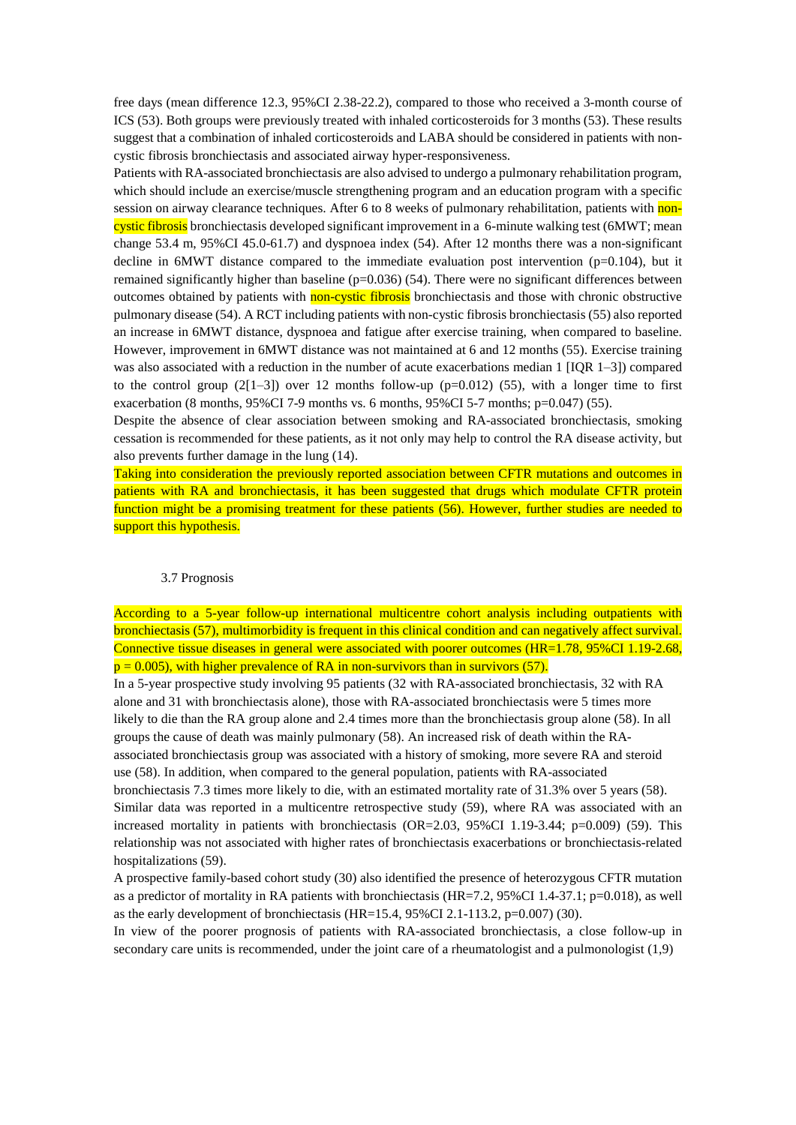free days (mean difference 12.3, 95%CI 2.38-22.2), compared to those who received a 3-month course of ICS (53). Both groups were previously treated with inhaled corticosteroids for 3 months (53). These results suggest that a combination of inhaled corticosteroids and LABA should be considered in patients with noncystic fibrosis bronchiectasis and associated airway hyper-responsiveness.

Patients with RA-associated bronchiectasis are also advised to undergo a pulmonary rehabilitation program, which should include an exercise/muscle strengthening program and an education program with a specific session on airway clearance techniques. After 6 to 8 weeks of pulmonary rehabilitation, patients with noncystic fibrosis bronchiectasis developed significant improvement in a 6-minute walking test (6MWT; mean change 53.4 m, 95%CI 45.0-61.7) and dyspnoea index (54). After 12 months there was a non-significant decline in  $6MWT$  distance compared to the immediate evaluation post intervention ( $p=0.104$ ), but it remained significantly higher than baseline  $(p=0.036)$  (54). There were no significant differences between outcomes obtained by patients with non-cystic fibrosis bronchiectasis and those with chronic obstructive pulmonary disease (54). A RCT including patients with non-cystic fibrosis bronchiectasis (55) also reported an increase in 6MWT distance, dyspnoea and fatigue after exercise training, when compared to baseline. However, improvement in 6MWT distance was not maintained at 6 and 12 months (55). Exercise training was also associated with a reduction in the number of acute exacerbations median 1 [IQR 1–3]) compared to the control group  $(2[1-3])$  over 12 months follow-up (p=0.012) (55), with a longer time to first exacerbation (8 months, 95%CI 7-9 months vs. 6 months, 95%CI 5-7 months;  $p=0.047$ ) (55).

Despite the absence of clear association between smoking and RA-associated bronchiectasis, smoking cessation is recommended for these patients, as it not only may help to control the RA disease activity, but also prevents further damage in the lung (14).

Taking into consideration the previously reported association between CFTR mutations and outcomes in patients with RA and bronchiectasis, it has been suggested that drugs which modulate CFTR protein function might be a promising treatment for these patients (56). However, further studies are needed to support this hypothesis.

### 3.7 Prognosis

According to a 5-year follow-up international multicentre cohort analysis including outpatients with bronchiectasis (57), multimorbidity is frequent in this clinical condition and can negatively affect survival. Connective tissue diseases in general were associated with poorer outcomes (HR=1.78, 95%CI 1.19-2.68,  $p = 0.005$ , with higher prevalence of RA in non-survivors than in survivors (57).

In a 5-year prospective study involving 95 patients (32 with RA-associated bronchiectasis, 32 with RA alone and 31 with bronchiectasis alone), those with RA-associated bronchiectasis were 5 times more likely to die than the RA group alone and 2.4 times more than the bronchiectasis group alone (58). In all groups the cause of death was mainly pulmonary (58). An increased risk of death within the RAassociated bronchiectasis group was associated with a history of smoking, more severe RA and steroid use (58). In addition, when compared to the general population, patients with RA-associated bronchiectasis 7.3 times more likely to die, with an estimated mortality rate of 31.3% over 5 years (58). Similar data was reported in a multicentre retrospective study (59), where RA was associated with an increased mortality in patients with bronchiectasis (OR=2.03, 95%CI 1.19-3.44; p=0.009) (59). This

relationship was not associated with higher rates of bronchiectasis exacerbations or bronchiectasis-related hospitalizations (59).

A prospective family-based cohort study (30) also identified the presence of heterozygous CFTR mutation as a predictor of mortality in RA patients with bronchiectasis (HR=7.2, 95%CI 1.4-37.1; p=0.018), as well as the early development of bronchiectasis (HR=15.4, 95%CI 2.1-113.2, p=0.007) (30).

In view of the poorer prognosis of patients with RA-associated bronchiectasis, a close follow-up in secondary care units is recommended, under the joint care of a rheumatologist and a pulmonologist (1,9)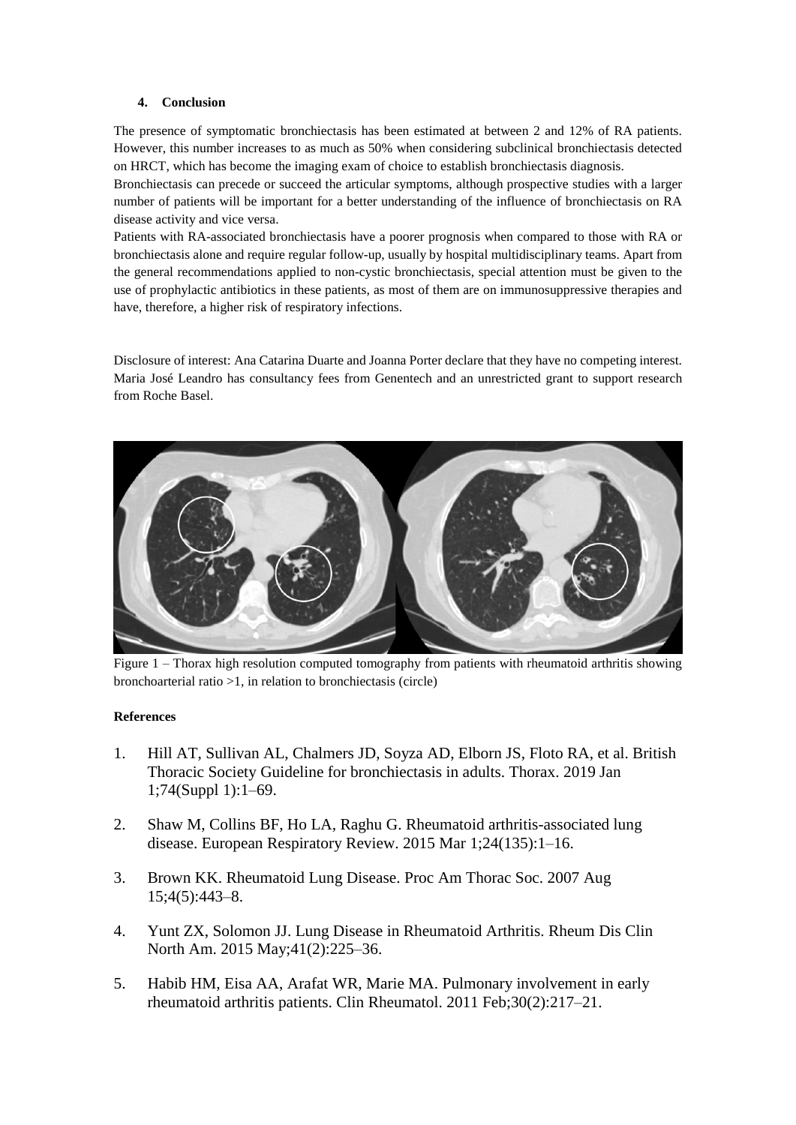# **4. Conclusion**

The presence of symptomatic bronchiectasis has been estimated at between 2 and 12% of RA patients. However, this number increases to as much as 50% when considering subclinical bronchiectasis detected on HRCT, which has become the imaging exam of choice to establish bronchiectasis diagnosis.

Bronchiectasis can precede or succeed the articular symptoms, although prospective studies with a larger number of patients will be important for a better understanding of the influence of bronchiectasis on RA disease activity and vice versa.

Patients with RA-associated bronchiectasis have a poorer prognosis when compared to those with RA or bronchiectasis alone and require regular follow-up, usually by hospital multidisciplinary teams. Apart from the general recommendations applied to non-cystic bronchiectasis, special attention must be given to the use of prophylactic antibiotics in these patients, as most of them are on immunosuppressive therapies and have, therefore, a higher risk of respiratory infections.

Disclosure of interest: Ana Catarina Duarte and Joanna Porter declare that they have no competing interest. Maria José Leandro has consultancy fees from Genentech and an unrestricted grant to support research from Roche Basel.



Figure 1 – Thorax high resolution computed tomography from patients with rheumatoid arthritis showing bronchoarterial ratio >1, in relation to bronchiectasis (circle)

## **References**

- 1. Hill AT, Sullivan AL, Chalmers JD, Soyza AD, Elborn JS, Floto RA, et al. British Thoracic Society Guideline for bronchiectasis in adults. Thorax. 2019 Jan 1;74(Suppl 1):1–69.
- 2. Shaw M, Collins BF, Ho LA, Raghu G. Rheumatoid arthritis-associated lung disease. European Respiratory Review. 2015 Mar 1;24(135):1–16.
- 3. Brown KK. Rheumatoid Lung Disease. Proc Am Thorac Soc. 2007 Aug 15;4(5):443–8.
- 4. Yunt ZX, Solomon JJ. Lung Disease in Rheumatoid Arthritis. Rheum Dis Clin North Am. 2015 May;41(2):225–36.
- 5. Habib HM, Eisa AA, Arafat WR, Marie MA. Pulmonary involvement in early rheumatoid arthritis patients. Clin Rheumatol. 2011 Feb;30(2):217–21.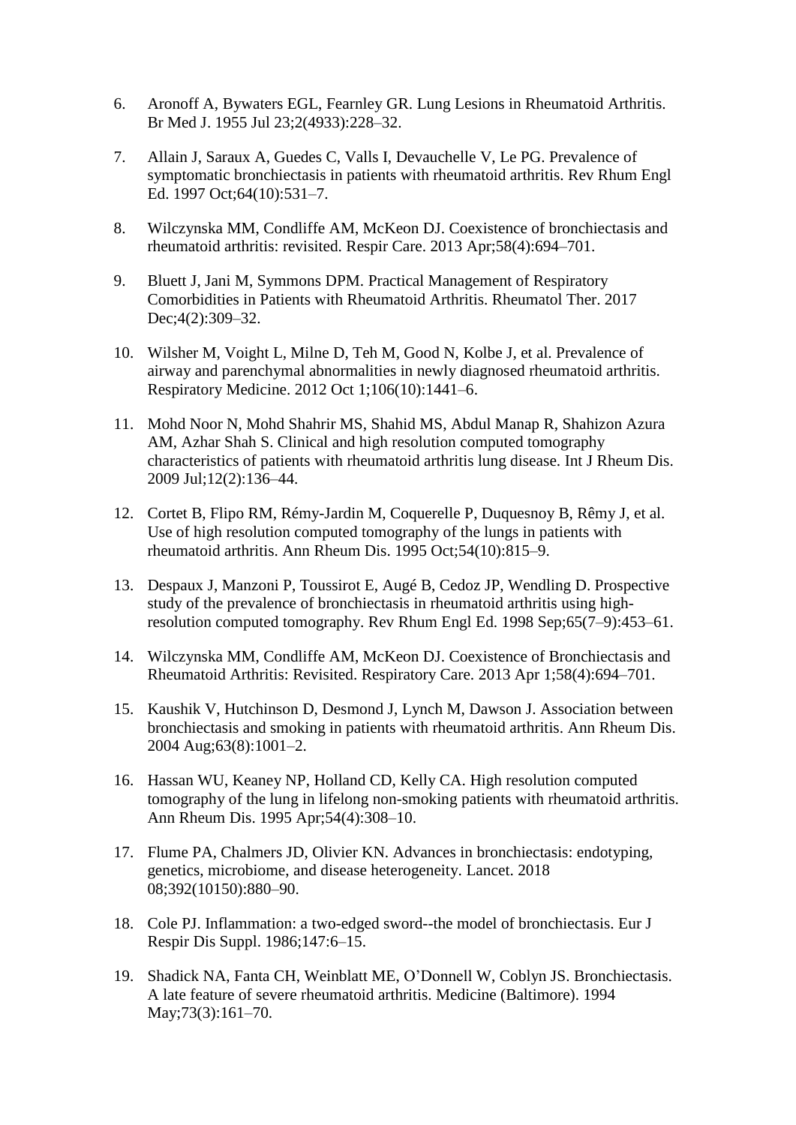- 6. Aronoff A, Bywaters EGL, Fearnley GR. Lung Lesions in Rheumatoid Arthritis. Br Med J. 1955 Jul 23;2(4933):228–32.
- 7. Allain J, Saraux A, Guedes C, Valls I, Devauchelle V, Le PG. Prevalence of symptomatic bronchiectasis in patients with rheumatoid arthritis. Rev Rhum Engl Ed. 1997 Oct;64(10):531–7.
- 8. Wilczynska MM, Condliffe AM, McKeon DJ. Coexistence of bronchiectasis and rheumatoid arthritis: revisited. Respir Care. 2013 Apr;58(4):694–701.
- 9. Bluett J, Jani M, Symmons DPM. Practical Management of Respiratory Comorbidities in Patients with Rheumatoid Arthritis. Rheumatol Ther. 2017 Dec;4(2):309–32.
- 10. Wilsher M, Voight L, Milne D, Teh M, Good N, Kolbe J, et al. Prevalence of airway and parenchymal abnormalities in newly diagnosed rheumatoid arthritis. Respiratory Medicine. 2012 Oct 1;106(10):1441–6.
- 11. Mohd Noor N, Mohd Shahrir MS, Shahid MS, Abdul Manap R, Shahizon Azura AM, Azhar Shah S. Clinical and high resolution computed tomography characteristics of patients with rheumatoid arthritis lung disease. Int J Rheum Dis. 2009 Jul;12(2):136–44.
- 12. Cortet B, Flipo RM, Rémy-Jardin M, Coquerelle P, Duquesnoy B, Rêmy J, et al. Use of high resolution computed tomography of the lungs in patients with rheumatoid arthritis. Ann Rheum Dis. 1995 Oct;54(10):815–9.
- 13. Despaux J, Manzoni P, Toussirot E, Augé B, Cedoz JP, Wendling D. Prospective study of the prevalence of bronchiectasis in rheumatoid arthritis using highresolution computed tomography. Rev Rhum Engl Ed. 1998 Sep;65(7–9):453–61.
- 14. Wilczynska MM, Condliffe AM, McKeon DJ. Coexistence of Bronchiectasis and Rheumatoid Arthritis: Revisited. Respiratory Care. 2013 Apr 1;58(4):694–701.
- 15. Kaushik V, Hutchinson D, Desmond J, Lynch M, Dawson J. Association between bronchiectasis and smoking in patients with rheumatoid arthritis. Ann Rheum Dis. 2004 Aug;63(8):1001–2.
- 16. Hassan WU, Keaney NP, Holland CD, Kelly CA. High resolution computed tomography of the lung in lifelong non-smoking patients with rheumatoid arthritis. Ann Rheum Dis. 1995 Apr;54(4):308–10.
- 17. Flume PA, Chalmers JD, Olivier KN. Advances in bronchiectasis: endotyping, genetics, microbiome, and disease heterogeneity. Lancet. 2018 08;392(10150):880–90.
- 18. Cole PJ. Inflammation: a two-edged sword--the model of bronchiectasis. Eur J Respir Dis Suppl. 1986;147:6–15.
- 19. Shadick NA, Fanta CH, Weinblatt ME, O'Donnell W, Coblyn JS. Bronchiectasis. A late feature of severe rheumatoid arthritis. Medicine (Baltimore). 1994 May;73(3):161–70.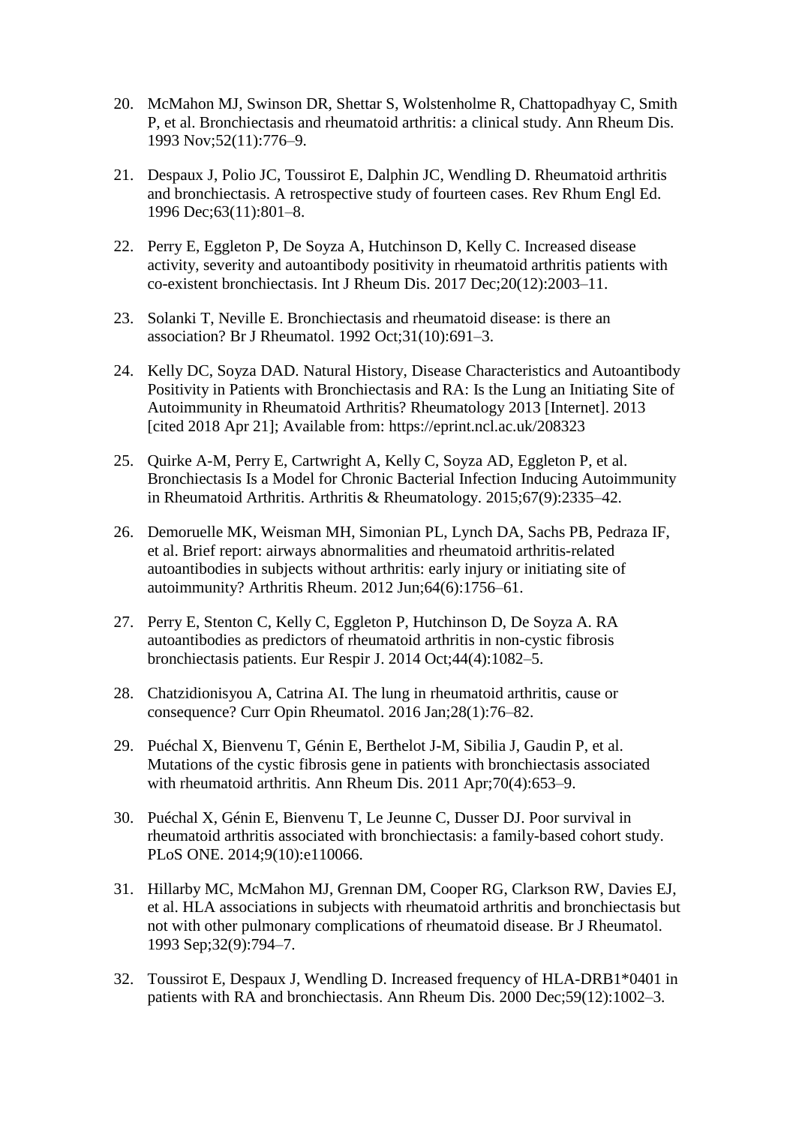- 20. McMahon MJ, Swinson DR, Shettar S, Wolstenholme R, Chattopadhyay C, Smith P, et al. Bronchiectasis and rheumatoid arthritis: a clinical study. Ann Rheum Dis. 1993 Nov;52(11):776–9.
- 21. Despaux J, Polio JC, Toussirot E, Dalphin JC, Wendling D. Rheumatoid arthritis and bronchiectasis. A retrospective study of fourteen cases. Rev Rhum Engl Ed. 1996 Dec;63(11):801–8.
- 22. Perry E, Eggleton P, De Soyza A, Hutchinson D, Kelly C. Increased disease activity, severity and autoantibody positivity in rheumatoid arthritis patients with co-existent bronchiectasis. Int J Rheum Dis. 2017 Dec;20(12):2003–11.
- 23. Solanki T, Neville E. Bronchiectasis and rheumatoid disease: is there an association? Br J Rheumatol. 1992 Oct;31(10):691–3.
- 24. Kelly DC, Soyza DAD. Natural History, Disease Characteristics and Autoantibody Positivity in Patients with Bronchiectasis and RA: Is the Lung an Initiating Site of Autoimmunity in Rheumatoid Arthritis? Rheumatology 2013 [Internet]. 2013 [cited 2018 Apr 21]; Available from: https://eprint.ncl.ac.uk/208323
- 25. Quirke A-M, Perry E, Cartwright A, Kelly C, Soyza AD, Eggleton P, et al. Bronchiectasis Is a Model for Chronic Bacterial Infection Inducing Autoimmunity in Rheumatoid Arthritis. Arthritis & Rheumatology. 2015;67(9):2335–42.
- 26. Demoruelle MK, Weisman MH, Simonian PL, Lynch DA, Sachs PB, Pedraza IF, et al. Brief report: airways abnormalities and rheumatoid arthritis-related autoantibodies in subjects without arthritis: early injury or initiating site of autoimmunity? Arthritis Rheum. 2012 Jun;64(6):1756–61.
- 27. Perry E, Stenton C, Kelly C, Eggleton P, Hutchinson D, De Soyza A. RA autoantibodies as predictors of rheumatoid arthritis in non-cystic fibrosis bronchiectasis patients. Eur Respir J. 2014 Oct;44(4):1082–5.
- 28. Chatzidionisyou A, Catrina AI. The lung in rheumatoid arthritis, cause or consequence? Curr Opin Rheumatol. 2016 Jan;28(1):76–82.
- 29. Puéchal X, Bienvenu T, Génin E, Berthelot J-M, Sibilia J, Gaudin P, et al. Mutations of the cystic fibrosis gene in patients with bronchiectasis associated with rheumatoid arthritis. Ann Rheum Dis. 2011 Apr;70(4):653–9.
- 30. Puéchal X, Génin E, Bienvenu T, Le Jeunne C, Dusser DJ. Poor survival in rheumatoid arthritis associated with bronchiectasis: a family-based cohort study. PLoS ONE. 2014;9(10):e110066.
- 31. Hillarby MC, McMahon MJ, Grennan DM, Cooper RG, Clarkson RW, Davies EJ, et al. HLA associations in subjects with rheumatoid arthritis and bronchiectasis but not with other pulmonary complications of rheumatoid disease. Br J Rheumatol. 1993 Sep;32(9):794–7.
- 32. Toussirot E, Despaux J, Wendling D. Increased frequency of HLA-DRB1\*0401 in patients with RA and bronchiectasis. Ann Rheum Dis. 2000 Dec;59(12):1002–3.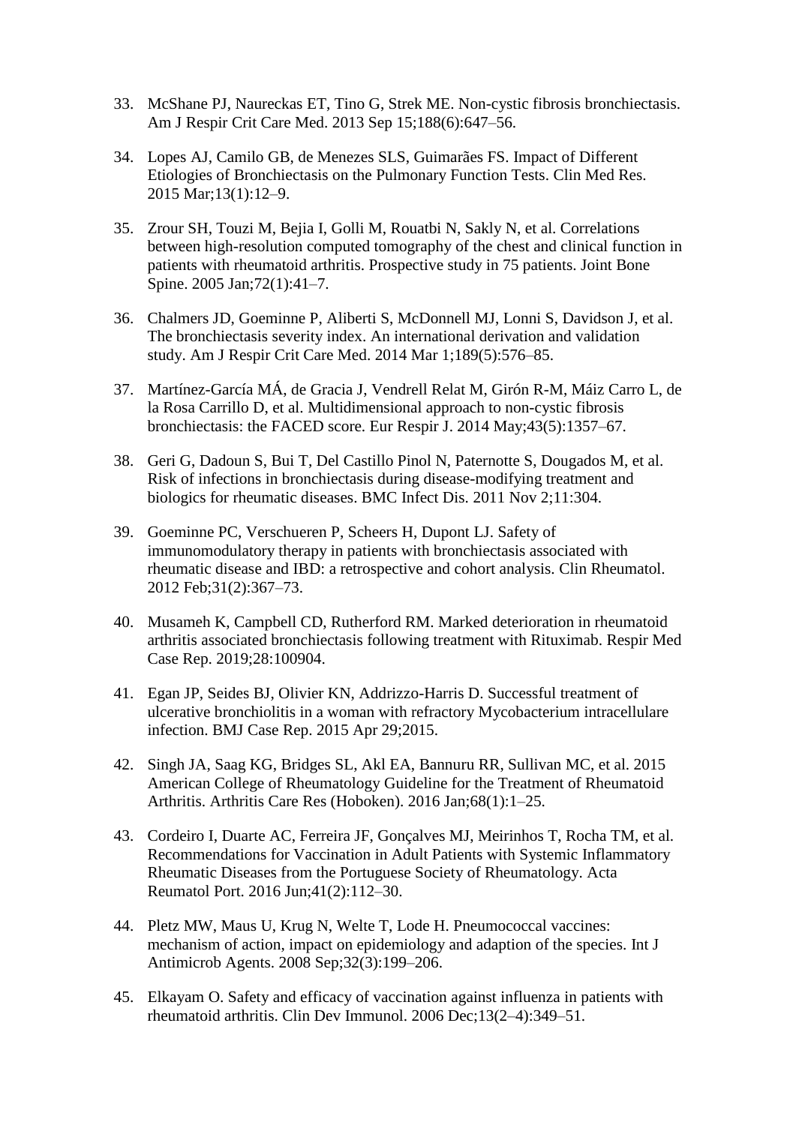- 33. McShane PJ, Naureckas ET, Tino G, Strek ME. Non-cystic fibrosis bronchiectasis. Am J Respir Crit Care Med. 2013 Sep 15;188(6):647–56.
- 34. Lopes AJ, Camilo GB, de Menezes SLS, Guimarães FS. Impact of Different Etiologies of Bronchiectasis on the Pulmonary Function Tests. Clin Med Res. 2015 Mar;13(1):12–9.
- 35. Zrour SH, Touzi M, Bejia I, Golli M, Rouatbi N, Sakly N, et al. Correlations between high-resolution computed tomography of the chest and clinical function in patients with rheumatoid arthritis. Prospective study in 75 patients. Joint Bone Spine. 2005 Jan;72(1):41–7.
- 36. Chalmers JD, Goeminne P, Aliberti S, McDonnell MJ, Lonni S, Davidson J, et al. The bronchiectasis severity index. An international derivation and validation study. Am J Respir Crit Care Med. 2014 Mar 1;189(5):576–85.
- 37. Martínez-García MÁ, de Gracia J, Vendrell Relat M, Girón R-M, Máiz Carro L, de la Rosa Carrillo D, et al. Multidimensional approach to non-cystic fibrosis bronchiectasis: the FACED score. Eur Respir J. 2014 May;43(5):1357–67.
- 38. Geri G, Dadoun S, Bui T, Del Castillo Pinol N, Paternotte S, Dougados M, et al. Risk of infections in bronchiectasis during disease-modifying treatment and biologics for rheumatic diseases. BMC Infect Dis. 2011 Nov 2;11:304.
- 39. Goeminne PC, Verschueren P, Scheers H, Dupont LJ. Safety of immunomodulatory therapy in patients with bronchiectasis associated with rheumatic disease and IBD: a retrospective and cohort analysis. Clin Rheumatol. 2012 Feb;31(2):367–73.
- 40. Musameh K, Campbell CD, Rutherford RM. Marked deterioration in rheumatoid arthritis associated bronchiectasis following treatment with Rituximab. Respir Med Case Rep. 2019;28:100904.
- 41. Egan JP, Seides BJ, Olivier KN, Addrizzo-Harris D. Successful treatment of ulcerative bronchiolitis in a woman with refractory Mycobacterium intracellulare infection. BMJ Case Rep. 2015 Apr 29;2015.
- 42. Singh JA, Saag KG, Bridges SL, Akl EA, Bannuru RR, Sullivan MC, et al. 2015 American College of Rheumatology Guideline for the Treatment of Rheumatoid Arthritis. Arthritis Care Res (Hoboken). 2016 Jan;68(1):1–25.
- 43. Cordeiro I, Duarte AC, Ferreira JF, Gonçalves MJ, Meirinhos T, Rocha TM, et al. Recommendations for Vaccination in Adult Patients with Systemic Inflammatory Rheumatic Diseases from the Portuguese Society of Rheumatology. Acta Reumatol Port. 2016 Jun;41(2):112–30.
- 44. Pletz MW, Maus U, Krug N, Welte T, Lode H. Pneumococcal vaccines: mechanism of action, impact on epidemiology and adaption of the species. Int J Antimicrob Agents. 2008 Sep;32(3):199–206.
- 45. Elkayam O. Safety and efficacy of vaccination against influenza in patients with rheumatoid arthritis. Clin Dev Immunol. 2006 Dec;13(2–4):349–51.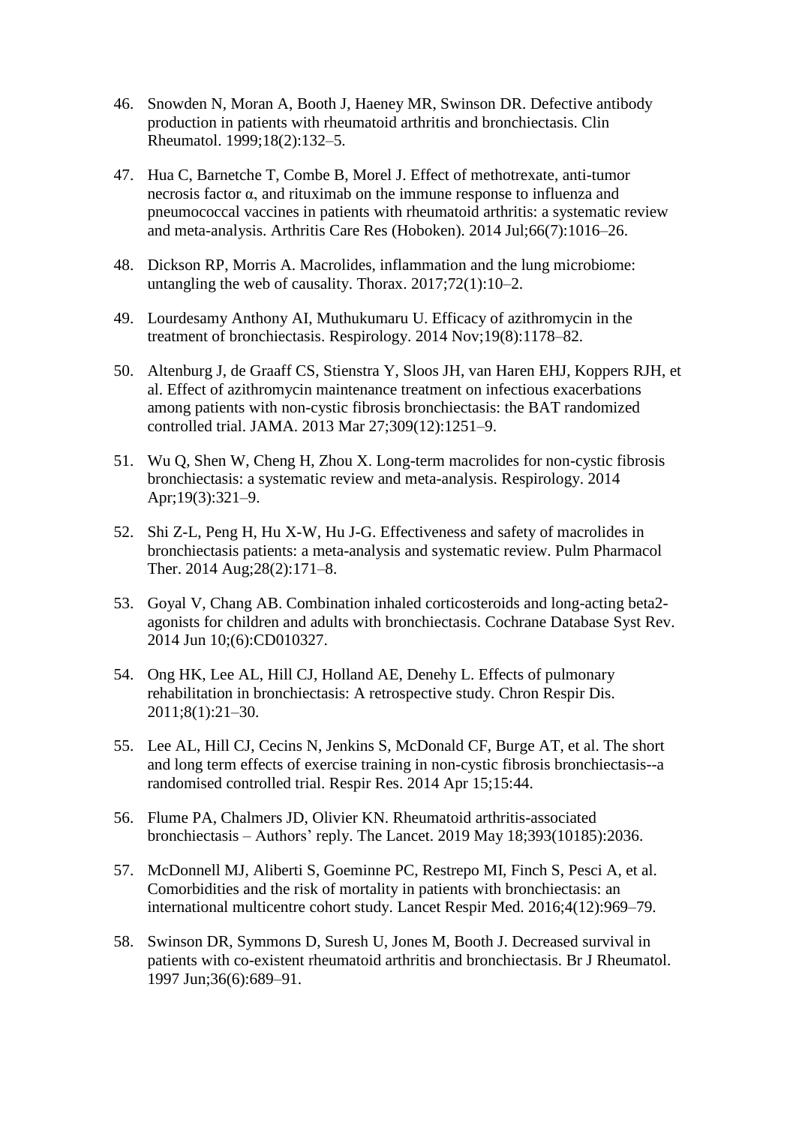- 46. Snowden N, Moran A, Booth J, Haeney MR, Swinson DR. Defective antibody production in patients with rheumatoid arthritis and bronchiectasis. Clin Rheumatol. 1999;18(2):132–5.
- 47. Hua C, Barnetche T, Combe B, Morel J. Effect of methotrexate, anti-tumor necrosis factor α, and rituximab on the immune response to influenza and pneumococcal vaccines in patients with rheumatoid arthritis: a systematic review and meta-analysis. Arthritis Care Res (Hoboken). 2014 Jul;66(7):1016–26.
- 48. Dickson RP, Morris A. Macrolides, inflammation and the lung microbiome: untangling the web of causality. Thorax. 2017;72(1):10–2.
- 49. Lourdesamy Anthony AI, Muthukumaru U. Efficacy of azithromycin in the treatment of bronchiectasis. Respirology. 2014 Nov;19(8):1178–82.
- 50. Altenburg J, de Graaff CS, Stienstra Y, Sloos JH, van Haren EHJ, Koppers RJH, et al. Effect of azithromycin maintenance treatment on infectious exacerbations among patients with non-cystic fibrosis bronchiectasis: the BAT randomized controlled trial. JAMA. 2013 Mar 27;309(12):1251–9.
- 51. Wu Q, Shen W, Cheng H, Zhou X. Long-term macrolides for non-cystic fibrosis bronchiectasis: a systematic review and meta-analysis. Respirology. 2014 Apr;19(3):321–9.
- 52. Shi Z-L, Peng H, Hu X-W, Hu J-G. Effectiveness and safety of macrolides in bronchiectasis patients: a meta-analysis and systematic review. Pulm Pharmacol Ther. 2014 Aug;28(2):171–8.
- 53. Goyal V, Chang AB. Combination inhaled corticosteroids and long-acting beta2 agonists for children and adults with bronchiectasis. Cochrane Database Syst Rev. 2014 Jun 10;(6):CD010327.
- 54. Ong HK, Lee AL, Hill CJ, Holland AE, Denehy L. Effects of pulmonary rehabilitation in bronchiectasis: A retrospective study. Chron Respir Dis. 2011;8(1):21–30.
- 55. Lee AL, Hill CJ, Cecins N, Jenkins S, McDonald CF, Burge AT, et al. The short and long term effects of exercise training in non-cystic fibrosis bronchiectasis--a randomised controlled trial. Respir Res. 2014 Apr 15;15:44.
- 56. Flume PA, Chalmers JD, Olivier KN. Rheumatoid arthritis-associated bronchiectasis – Authors' reply. The Lancet. 2019 May 18;393(10185):2036.
- 57. McDonnell MJ, Aliberti S, Goeminne PC, Restrepo MI, Finch S, Pesci A, et al. Comorbidities and the risk of mortality in patients with bronchiectasis: an international multicentre cohort study. Lancet Respir Med. 2016;4(12):969–79.
- 58. Swinson DR, Symmons D, Suresh U, Jones M, Booth J. Decreased survival in patients with co-existent rheumatoid arthritis and bronchiectasis. Br J Rheumatol. 1997 Jun;36(6):689–91.